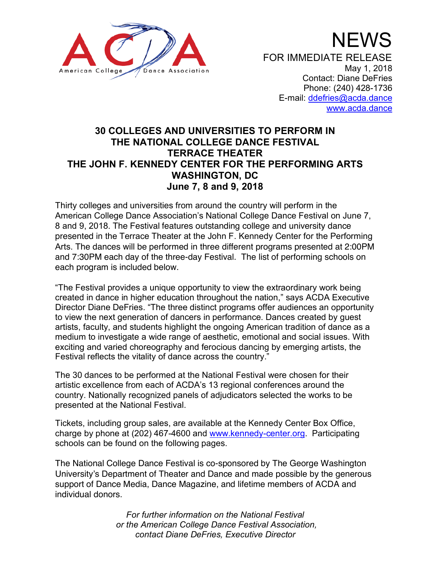

# **30 COLLEGES AND UNIVERSITIES TO PERFORM IN THE NATIONAL COLLEGE DANCE FESTIVAL TERRACE THEATER THE JOHN F. KENNEDY CENTER FOR THE PERFORMING ARTS WASHINGTON, DC June 7, 8 and 9, 2018**

Thirty colleges and universities from around the country will perform in the American College Dance Association's National College Dance Festival on June 7, 8 and 9, 2018. The Festival features outstanding college and university dance presented in the Terrace Theater at the John F. Kennedy Center for the Performing Arts. The dances will be performed in three different programs presented at 2:00PM and 7:30PM each day of the three-day Festival. The list of performing schools on each program is included below.

"The Festival provides a unique opportunity to view the extraordinary work being created in dance in higher education throughout the nation," says ACDA Executive Director Diane DeFries. "The three distinct programs offer audiences an opportunity to view the next generation of dancers in performance. Dances created by guest artists, faculty, and students highlight the ongoing American tradition of dance as a medium to investigate a wide range of aesthetic, emotional and social issues. With exciting and varied choreography and ferocious dancing by emerging artists, the Festival reflects the vitality of dance across the country."

The 30 dances to be performed at the National Festival were chosen for their artistic excellence from each of ACDA's 13 regional conferences around the country. Nationally recognized panels of adjudicators selected the works to be presented at the National Festival.

Tickets, including group sales, are available at the Kennedy Center Box Office, charge by phone at (202) 467-4600 and www.kennedy-center.org. Participating schools can be found on the following pages.

The National College Dance Festival is co-sponsored by The George Washington University's Department of Theater and Dance and made possible by the generous support of Dance Media, Dance Magazine, and lifetime members of ACDA and individual donors.

> *For further information on the National Festival or the American College Dance Festival Association, contact Diane DeFries, Executive Director*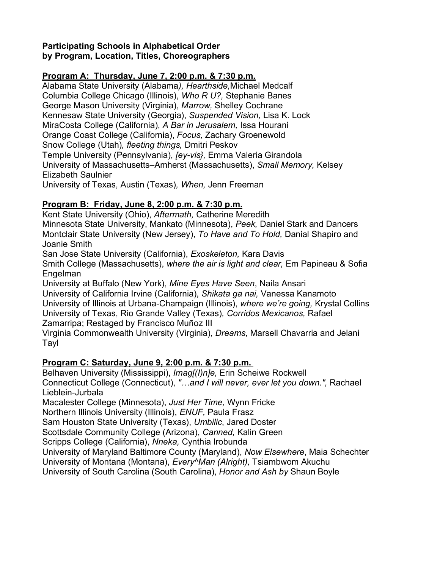## **Participating Schools in Alphabetical Order by Program, Location, Titles, Choreographers**

## **Program A: Thursday, June 7, 2:00 p.m. & 7:30 p.m.**

Alabama State University (Alabama*), Hearthside,*Michael Medcalf Columbia College Chicago (Illinois), *Who R U?,* Stephanie Banes George Mason University (Virginia), *Marrow,* Shelley Cochrane Kennesaw State University (Georgia), *Suspended Vision,* Lisa K. Lock MiraCosta College (California), *A Bar in Jerusalem,* Issa Hourani Orange Coast College (California), *Focus,* Zachary Groenewold Snow College (Utah)*, fleeting things,* Dmitri Peskov Temple University (Pennsylvania), *[ey-vis},* Emma Valeria Girandola University of Massachusetts–Amherst (Massachusetts), *Small Memory,* Kelsey Elizabeth Saulnier University of Texas, Austin (Texas)*, When,* Jenn Freeman

## **Program B: Friday, June 8, 2:00 p.m. & 7:30 p.m.**

Kent State University (Ohio), *Aftermath,* Catherine Meredith Minnesota State University, Mankato (Minnesota), *Peek,* Daniel Stark and Dancers Montclair State University (New Jersey), *To Have and To Hold,* Danial Shapiro and Joanie Smith

San Jose State University (California), *Exoskeleton,* Kara Davis

Smith College (Massachusetts), *where the air is light and clear,* Em Papineau & Sofia Engelman

University at Buffalo (New York), *Mine Eyes Have Seen*, Naila Ansari University of California Irvine (California), *Shikata ga nai,* Vanessa Kanamoto University of Illinois at Urbana-Champaign (Illinois), *where we're going,* Krystal Collins University of Texas, Rio Grande Valley (Texas)*, Corridos Mexicanos,* Rafael Zamarripa; Restaged by Francisco Muñoz III

Virginia Commonwealth University (Virginia), *Dreams,* Marsell Chavarria and Jelani Tayl

## **Program C: Saturday, June 9, 2:00 p.m. & 7:30 p.m.**

Belhaven University (Mississippi), *Imag[(I)n]e,* Erin Scheiwe Rockwell Connecticut College (Connecticut), *"…and I will never, ever let you down.",* Rachael Lieblein-Jurbala

Macalester College (Minnesota), *Just Her Time,* Wynn Fricke

Northern Illinois University (Illinois), *ENUF,* Paula Frasz

Sam Houston State University (Texas), *Umbilic*, Jared Doster

Scottsdale Community College (Arizona), *Canned,* Kalin Green

Scripps College (California), *Nneka,* Cynthia Irobunda

University of Maryland Baltimore County (Maryland), *Now Elsewhere*, Maia Schechter

University of Montana (Montana), *Every^Man (Alright),* Tsiambwom Akuchu

University of South Carolina (South Carolina), *Honor and Ash by* Shaun Boyle